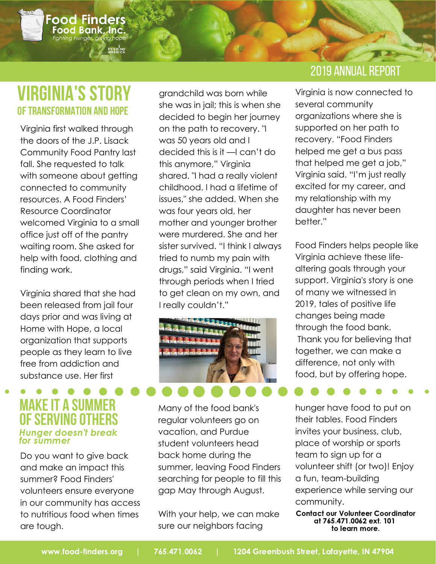# **VIRGINIA'S STORY** OF TRANSFORMATION AND HOPE

iahtina hunae

**Food Finders** Food Bank, Inc.

**FEEDING** 

Virginia first walked through the doors of the J.P. Lisack Community Food Pantry last fall. She requested to talk with someone about getting connected to community resources. A Food Finders' Resource Coordinator welcomed Virginia to a small office just off of the pantry waiting room. She asked for help with food, clothing and finding work.

Virginia shared that she had been released from jail four days prior and was living at Home with Hope, a local organization that supports people as they learn to live free from addiction and substance use. Her first

### **MAKE IT A SUMMER** OF SERVING OTHERS Hunger doesn't break for summer

Do you want to give back and make an impact this summer? Food Finders' volunteers ensure everyone in our community has access to nutritious food when times are tough.

grandchild was born while she was in jail; this is when she decided to begin her journey on the path to recovery. "I was 50 years old and I decided this is it —I can't do this anymore," Virginia shared. "I had a really violent childhood. I had a lifetime of issues," she added. When she was four years old, her mother and younger brother were murdered. She and her sister survived. "I think I always tried to numb my pain with drugs," said Virginia. "I went through periods when I tried to get clean on my own, and I really couldn't."



Many of the food bank's regular volunteers go on vacation, and Purdue student volunteers head back home during the summer, leaving Food Finders searching for people to fill this gap May through August.

With your help, we can make sure our neighbors facing

# 2019 ANNUAL REPORT

Virginia is now connected to several community organizations where she is supported on her path to recovery. "Food Finders helped me get a bus pass that helped me get a job," Virginia said. "I'm just really excited for my career, and my relationship with my daughter has never been better."

Food Finders helps people like Virginia achieve these lifealtering goals through your support. Virginia's story is one of many we witnessed in 2019, tales of positive life changes being made through the food bank. Thank you for believing that together, we can make a difference, not only with food, but by offering hope.

hunger have food to put on their tables. Food Finders invites your business, club, place of worship or sports team to sign up for a volunteer shift (or two)! Enjoy a fun, team-building experience while serving our community.

Contact our Volunteer Coordinator at 765.471.0062 ext. 101 to learn more.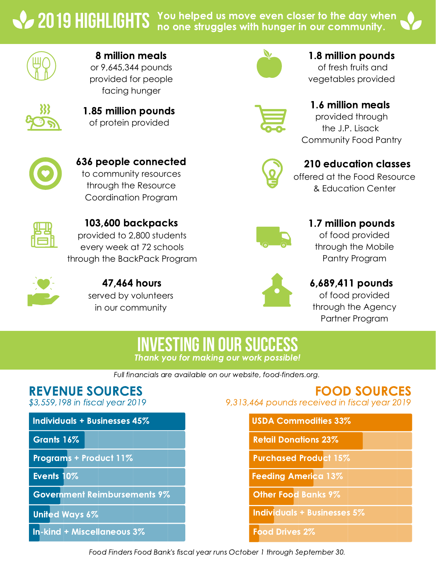You helped us move even closer to the day when no one struggles with hunger in our community.



or 9,645,344 pounds provided for people facing hunger 8 million meals



of protein provided 1.85 million pounds



to community resources through the Resource Coordination Program 636 people connected



of fresh fruits and vegetables provided 1.8 million pounds



provided through the J.P. Lisack Community Food Pantry 1.6 million meals



## 210 education classes

offered at the Food Resource & Education Center



provided to 2,800 students every week at 72 schools through the BackPack Program 103,600 backpacks



served by volunteers in our community 47,464 hours



of food provided 1.7 million pounds

through the Mobile Pantry Program

### 6,689,411 pounds

of food provided through the Agency Partner Program

## /Esting in our success Thank you for making our work possible!

Full financials are available on our website, food-finders.org.

|            | $\boldsymbol{\mathscr{L}}$ 2019 Highlights<br>You ł<br>$\overline{O}$                                                        |
|------------|------------------------------------------------------------------------------------------------------------------------------|
|            | 8 million meals<br>or 9,645,344 pounds<br>provided for people<br>facing hunger<br>1.85 million pounds<br>of protein provided |
|            | 636 people connecte<br>to community resources<br>through the Resource<br>Coordination Program                                |
|            | 103,600 backpacks<br>provided to 2,800 student<br>every week at 72 school:<br>through the BackPack Progr                     |
|            | 47,464 hours<br>served by volunteers<br>in our community                                                                     |
|            | <b>INVESTI</b><br><b>Thank you f</b>                                                                                         |
|            | Full financials are av<br><b>REVENUE SOURCES</b><br>\$3,559,198 in fiscal year 2019<br>Individuals + Businesses 45%          |
| Grants 16% |                                                                                                                              |
|            | <b>Programs + Product 11%</b>                                                                                                |
| Events 10% |                                                                                                                              |
|            | Government Reimbursements 9%                                                                                                 |
|            | United Ways 6%                                                                                                               |
|            | In-kind + Miscellaneous 3%                                                                                                   |
|            | Eood Finders Eood Bank's fi                                                                                                  |

REVENUE SOURCES FOOD SOURCES 9,313,464 pounds received in fiscal year 2019

| 0, 10 1 2001100 100011 001 11 110001 7001 201 |                                    |  |
|-----------------------------------------------|------------------------------------|--|
|                                               | <b>USDA Commodities 33%</b>        |  |
|                                               | <b>Retail Donations 23%</b>        |  |
|                                               | <b>Purchased Product 15%</b>       |  |
|                                               | <b>Feeding America 13%</b>         |  |
|                                               | <b>Other Food Banks 9%</b>         |  |
|                                               | <b>Individuals + Businesses 5%</b> |  |

Food Drives 2%

**0 10 20 30 40 50** Food Finders Food Bank's fiscal year runs October 1 through September 30.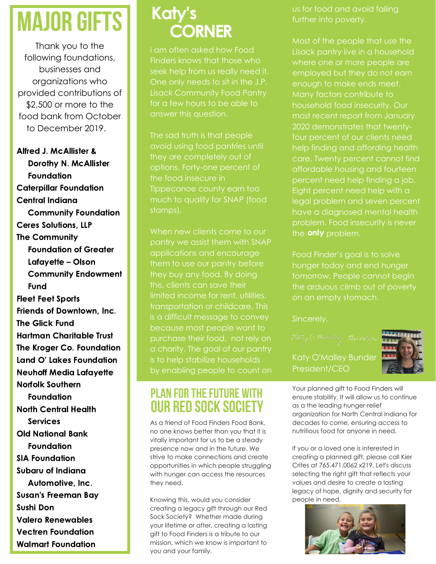# MAJOR GIFTS

Thank you to the following foundations, businesses and organizations who provided contributions of \$2,500 or more to the food bank from October to December 2019.

Alfred J. McAllister & Dorothy N. McAllister Foundation Caterpillar Foundation Central Indiana Community Foundation Ceres Solutions, LLP The Community Foundation of Greater Lafayette – Olson Community Endowment Fund Fleet Feet Sports Friends of Downtown, Inc. The Glick Fund Hartman Charitable Trust The Kroger Co. Foundation Land O' Lakes Foundation Neuhoff Media Lafayette Norfolk Southern Foundation North Central Health Services Old National Bank Foundation SIA Foundation Subaru of Indiana Automotive, Inc. Susan's Freeman Bay Sushi Don Valero Renewables Vectren Foundation Walmart Foundation

# Katy's **CORNER**

I am often asked how Food Finders knows that those who seek help from us really need it. for a few hours to be able to answer this question.

The sad truth is that people avoid using food pantries until they are completely out of options. Forty-one percent of the food insecure in Tippecanoe county earn too stamps).

When new clients come to our pantry we assist them with SNAP applications and encourage this, clients can save their transportation or childcare. This is a difficult message to convey because most people want to is to help stabilize households by enabling people to count on

# **PLAN FOR THE FUTURE WITH** OUR Red Sock Society

As a friend of Food Finders Food Bank, no one knows better than you that it is vitally important for us to be a steady presence now and in the future. We strive to make connections and create opportunities in which people struggling with hunger can access the resources they need.

Knowing this, would you consider creating a legacy gift through our Red Sock Society? Whether made during your lifetime or after, creating a lasting gift to Food Finders is a tribute to our mission, which we know is important to you and your family.

us for food and avoid falling

Most of the people that use the Lisack pantry live in a household where one or more people are employed but they do not earn enough to make ends meet. household food insecurity. Our most recent report from January 2020 demonstrates that twentyfour percent of our clients need help finding and affording health care. Twenty percent cannot find affordable housing and fourteen percent need help finding a job. Eight percent need help with a legal problem and seven percent have a diagnosed mental health problem. Food insecurity is never the only problem.

Food Finder's goal is to solve hunger today and end hunger tomorrow. People cannot begin the arduous climb out of poverty on an empty stomach.



Katy O'Malley Bunder President/CEO

Your planned gift to Food Finders will ensure stability. It will allow us to continue as a the leading hunger-relief organization for North Central Indiana for decades to come, ensuring access to nutritious food for anyone in need.

If you or a loved one is interested in creating a planned gift, please call Kier Crites at 765.471.0062 x219. Let's discuss selecting the right gift that reflects your values and desire to create a lasting legacy of hope, dignity and security for people in need.